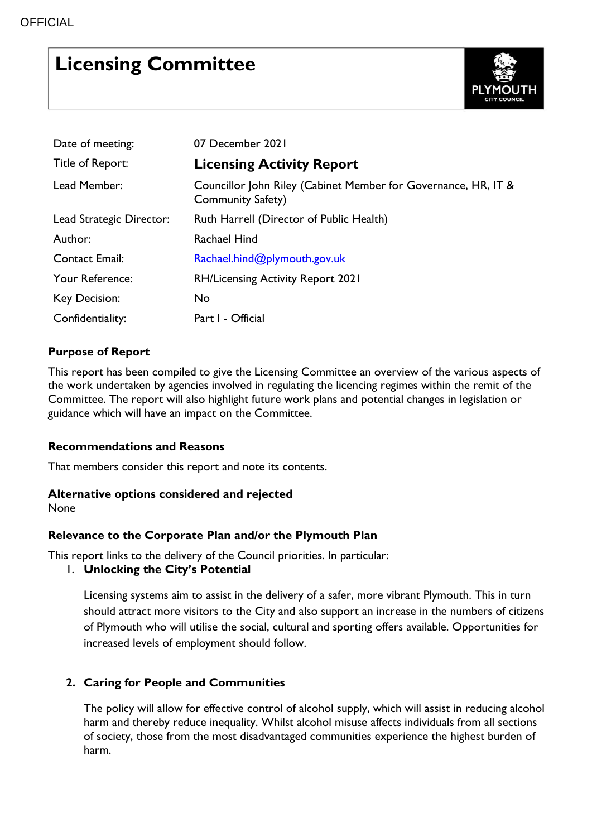# **Licensing Committee**



| Date of meeting:         | 07 December 2021                                                                           |
|--------------------------|--------------------------------------------------------------------------------------------|
| Title of Report:         | <b>Licensing Activity Report</b>                                                           |
| Lead Member:             | Councillor John Riley (Cabinet Member for Governance, HR, IT &<br><b>Community Safety)</b> |
| Lead Strategic Director: | Ruth Harrell (Director of Public Health)                                                   |
| Author:                  | Rachael Hind                                                                               |
| <b>Contact Email:</b>    | Rachael.hind@plymouth.gov.uk                                                               |
| Your Reference:          | <b>RH/Licensing Activity Report 2021</b>                                                   |
| Key Decision:            | No                                                                                         |
| Confidentiality:         | Part I - Official                                                                          |

# **Purpose of Report**

This report has been compiled to give the Licensing Committee an overview of the various aspects of the work undertaken by agencies involved in regulating the licencing regimes within the remit of the Committee. The report will also highlight future work plans and potential changes in legislation or guidance which will have an impact on the Committee.

### **Recommendations and Reasons**

That members consider this report and note its contents.

### **Alternative options considered and rejected**

None

# **Relevance to the Corporate Plan and/or the Plymouth Plan**

This report links to the delivery of the Council priorities. In particular:

### 1. **Unlocking the City's Potential**

Licensing systems aim to assist in the delivery of a safer, more vibrant Plymouth. This in turn should attract more visitors to the City and also support an increase in the numbers of citizens of Plymouth who will utilise the social, cultural and sporting offers available. Opportunities for increased levels of employment should follow.

# **2. Caring for People and Communities**

The policy will allow for effective control of alcohol supply, which will assist in reducing alcohol harm and thereby reduce inequality. Whilst alcohol misuse affects individuals from all sections of society, those from the most disadvantaged communities experience the highest burden of harm.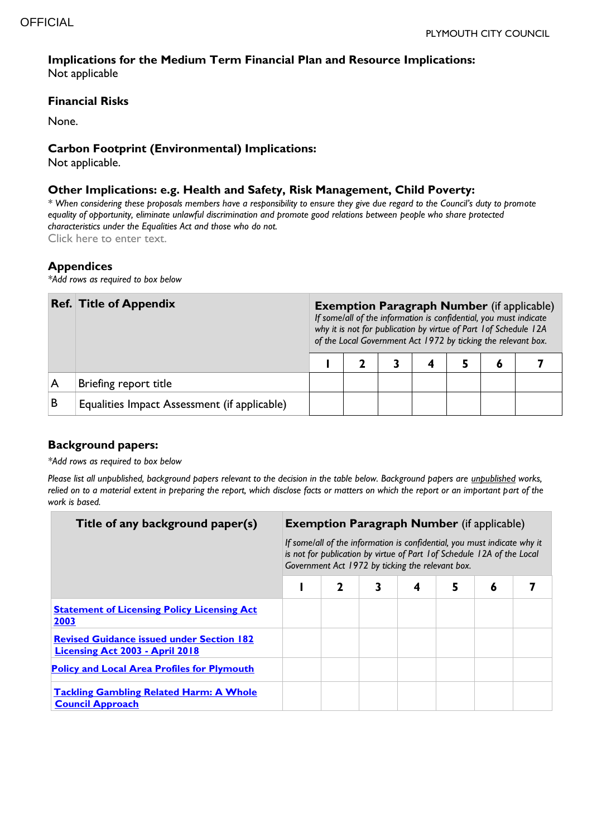#### **Implications for the Medium Term Financial Plan and Resource Implications:**  Not applicable

#### **Financial Risks**

None.

#### **Carbon Footprint (Environmental) Implications:**

Not applicable.

#### **Other Implications: e.g. Health and Safety, Risk Management, Child Poverty:**

*\* When considering these proposals members have a responsibility to ensure they give due regard to the Council's duty to promote equality of opportunity, eliminate unlawful discrimination and promote good relations between people who share protected characteristics under the Equalities Act and those who do not.* Click here to enter text.

**Appendices** 

*\*Add rows as required to box below*

|   | <b>Ref. Title of Appendix</b>                | <b>Exemption Paragraph Number (if applicable)</b><br>If some/all of the information is confidential, you must indicate<br>why it is not for publication by virtue of Part 1 of Schedule 12A<br>of the Local Government Act 1972 by ticking the relevant box. |  |  |  |  |  |  |  |
|---|----------------------------------------------|--------------------------------------------------------------------------------------------------------------------------------------------------------------------------------------------------------------------------------------------------------------|--|--|--|--|--|--|--|
|   |                                              |                                                                                                                                                                                                                                                              |  |  |  |  |  |  |  |
| A | Briefing report title                        |                                                                                                                                                                                                                                                              |  |  |  |  |  |  |  |
| в | Equalities Impact Assessment (if applicable) |                                                                                                                                                                                                                                                              |  |  |  |  |  |  |  |

### **Background papers:**

*\*Add rows as required to box below*

*Please list all unpublished, background papers relevant to the decision in the table below. Background papers are unpublished works, relied on to a material extent in preparing the report, which disclose facts or matters on which the report or an important part of the work is based.*

| Title of any background paper(s)                                                           | <b>Exemption Paragraph Number</b> (if applicable)                                                                                                                                                       |   |   |   |   |   |  |  |
|--------------------------------------------------------------------------------------------|---------------------------------------------------------------------------------------------------------------------------------------------------------------------------------------------------------|---|---|---|---|---|--|--|
|                                                                                            | If some/all of the information is confidential, you must indicate why it<br>is not for publication by virtue of Part 1 of Schedule 12A of the Local<br>Government Act 1972 by ticking the relevant box. |   |   |   |   |   |  |  |
|                                                                                            |                                                                                                                                                                                                         | 2 | 3 | 4 | 5 | 6 |  |  |
| <b>Statement of Licensing Policy Licensing Act</b><br>2003                                 |                                                                                                                                                                                                         |   |   |   |   |   |  |  |
| <b>Revised Guidance issued under Section 182</b><br><b>Licensing Act 2003 - April 2018</b> |                                                                                                                                                                                                         |   |   |   |   |   |  |  |
| <b>Policy and Local Area Profiles for Plymouth</b>                                         |                                                                                                                                                                                                         |   |   |   |   |   |  |  |
| <b>Tackling Gambling Related Harm: A Whole</b><br><b>Council Approach</b>                  |                                                                                                                                                                                                         |   |   |   |   |   |  |  |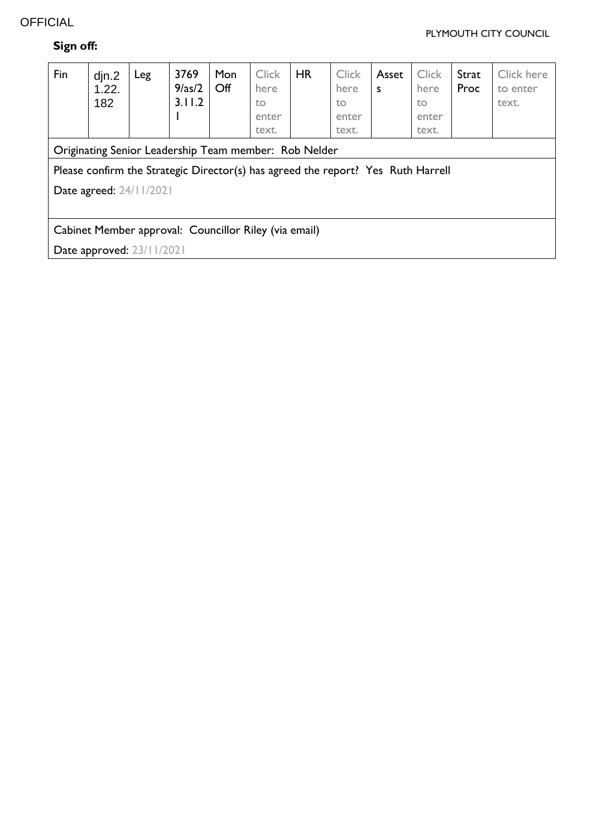# **OFFICIAL**

#### PLYMOUTH CITY COUNCIL

# **Sign off:**

| Fin                                                                              | $\dim 2$<br>1.22.<br>182 | Leg | 3769<br>9/as/2<br>3.11.2 | Mon<br>$\mathsf{Off}$ | <b>Click</b><br>here<br>to<br>enter<br>text. | HR | <b>Click</b><br>here<br>to<br>enter<br>text. | Asset<br>S | <b>Click</b><br>here<br>to<br>enter<br>text. | Strat<br>Proc | Click here<br>to enter<br>text. |
|----------------------------------------------------------------------------------|--------------------------|-----|--------------------------|-----------------------|----------------------------------------------|----|----------------------------------------------|------------|----------------------------------------------|---------------|---------------------------------|
| Originating Senior Leadership Team member: Rob Nelder                            |                          |     |                          |                       |                                              |    |                                              |            |                                              |               |                                 |
| Please confirm the Strategic Director(s) has agreed the report? Yes Ruth Harrell |                          |     |                          |                       |                                              |    |                                              |            |                                              |               |                                 |
| <b>Date agreed: 24/11/2021</b>                                                   |                          |     |                          |                       |                                              |    |                                              |            |                                              |               |                                 |
|                                                                                  |                          |     |                          |                       |                                              |    |                                              |            |                                              |               |                                 |
| Cabinet Member approval: Councillor Riley (via email)                            |                          |     |                          |                       |                                              |    |                                              |            |                                              |               |                                 |
| Date approved: 23/11/2021                                                        |                          |     |                          |                       |                                              |    |                                              |            |                                              |               |                                 |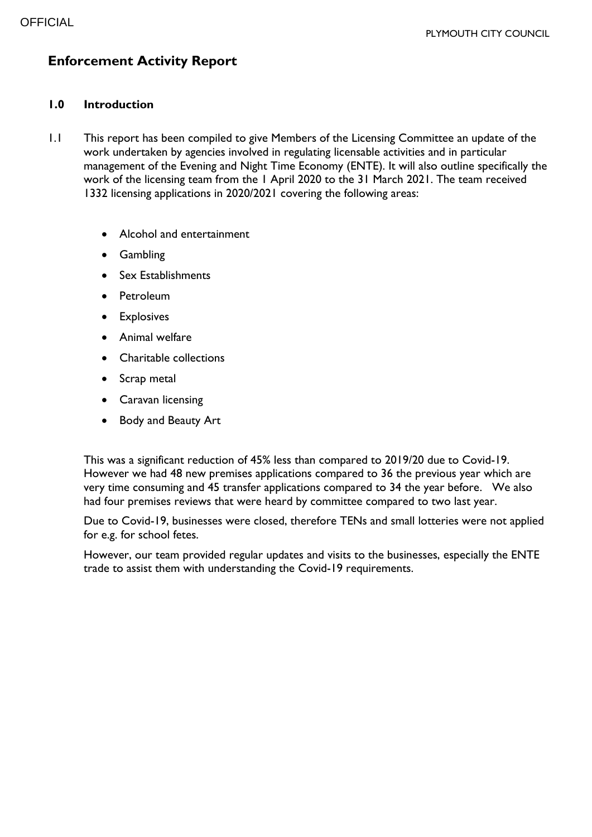# **Enforcement Activity Report**

#### **1.0 Introduction**

- 1.1 This report has been compiled to give Members of the Licensing Committee an update of the work undertaken by agencies involved in regulating licensable activities and in particular management of the Evening and Night Time Economy (ENTE). It will also outline specifically the work of the licensing team from the 1 April 2020 to the 31 March 2021. The team received 1332 licensing applications in 2020/2021 covering the following areas:
	- Alcohol and entertainment
	- Gambling
	- Sex Establishments
	- Petroleum
	- **•** Explosives
	- Animal welfare
	- Charitable collections
	- Scrap metal
	- **•** Caravan licensing
	- Body and Beauty Art

This was a significant reduction of 45% less than compared to 2019/20 due to Covid-19. However we had 48 new premises applications compared to 36 the previous year which are very time consuming and 45 transfer applications compared to 34 the year before. We also had four premises reviews that were heard by committee compared to two last year.

Due to Covid-19, businesses were closed, therefore TENs and small lotteries were not applied for e.g. for school fetes.

However, our team provided regular updates and visits to the businesses, especially the ENTE trade to assist them with understanding the Covid-19 requirements.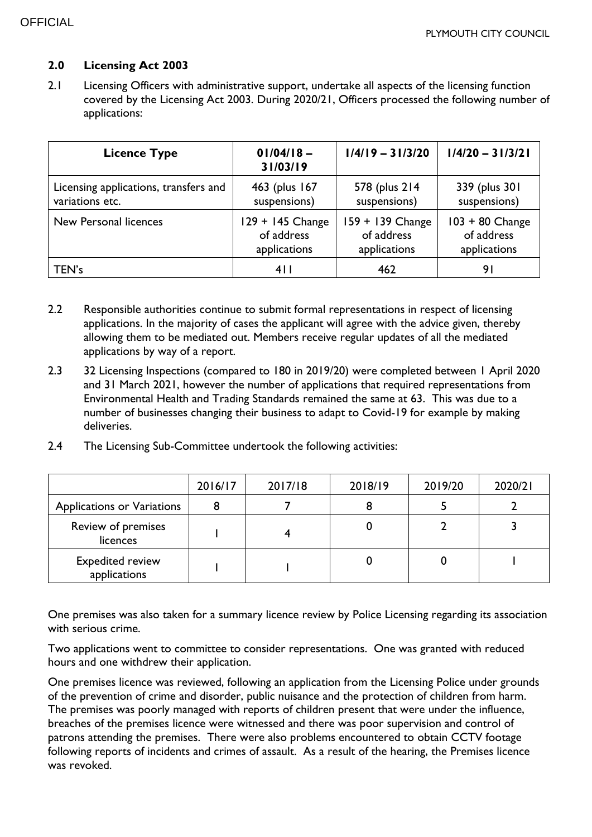### **2.0 Licensing Act 2003**

2.1 Licensing Officers with administrative support, undertake all aspects of the licensing function covered by the Licensing Act 2003. During 2020/21, Officers processed the following number of applications:

| <b>Licence Type</b>                   | $01/04/18 -$<br>31/03/19 | $1/4/19 - 31/3/20$ | $1/4/20 - 31/3/21$ |
|---------------------------------------|--------------------------|--------------------|--------------------|
| Licensing applications, transfers and | 463 (plus 167            | 578 (plus 214)     | 339 (plus 301)     |
| variations etc.                       | suspensions)             | suspensions)       | suspensions)       |
| New Personal licences                 | 129 + 145 Change         | 159 + 139 Change   | $103 + 80$ Change  |
|                                       | of address               | of address         | of address         |
|                                       | applications             | applications       | applications       |
| TEN's                                 | 411                      | 462                | 91                 |

- 2.2 Responsible authorities continue to submit formal representations in respect of licensing applications. In the majority of cases the applicant will agree with the advice given, thereby allowing them to be mediated out. Members receive regular updates of all the mediated applications by way of a report.
- 2.3 32 Licensing Inspections (compared to 180 in 2019/20) were completed between 1 April 2020 and 31 March 2021, however the number of applications that required representations from Environmental Health and Trading Standards remained the same at 63. This was due to a number of businesses changing their business to adapt to Covid-19 for example by making deliveries.
- 2.4 The Licensing Sub-Committee undertook the following activities:

|                                         | 2016/17 | 2017/18 | 2018/19 | 2019/20 | 2020/21 |
|-----------------------------------------|---------|---------|---------|---------|---------|
| Applications or Variations              |         |         |         |         |         |
| Review of premises<br>licences          |         |         |         |         |         |
| <b>Expedited review</b><br>applications |         |         |         |         |         |

One premises was also taken for a summary licence review by Police Licensing regarding its association with serious crime.

Two applications went to committee to consider representations. One was granted with reduced hours and one withdrew their application.

One premises licence was reviewed, following an application from the Licensing Police under grounds of the prevention of crime and disorder, public nuisance and the protection of children from harm. The premises was poorly managed with reports of children present that were under the influence, breaches of the premises licence were witnessed and there was poor supervision and control of patrons attending the premises. There were also problems encountered to obtain CCTV footage following reports of incidents and crimes of assault. As a result of the hearing, the Premises licence was revoked.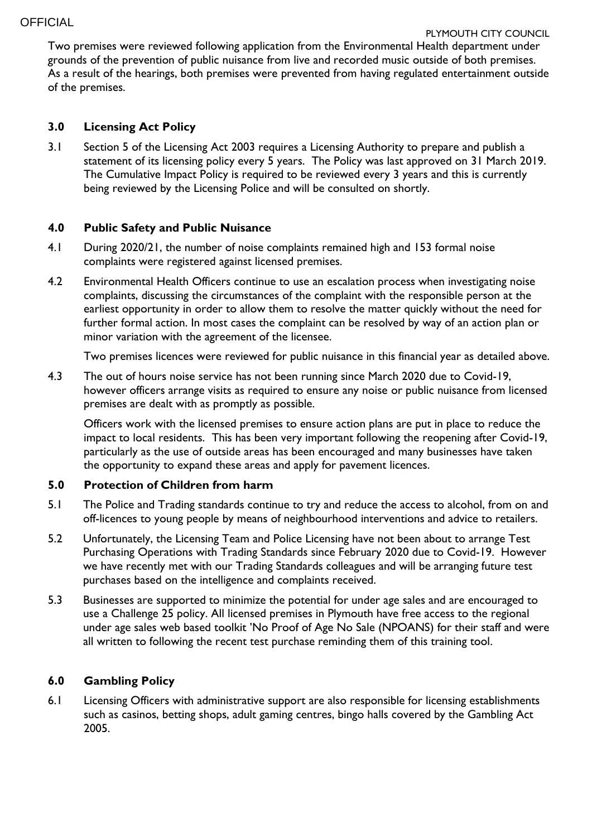Two premises were reviewed following application from the Environmental Health department under grounds of the prevention of public nuisance from live and recorded music outside of both premises. As a result of the hearings, both premises were prevented from having regulated entertainment outside of the premises.

### **3.0 Licensing Act Policy**

3.1 Section 5 of the Licensing Act 2003 requires a Licensing Authority to prepare and publish a statement of its licensing policy every 5 years. The Policy was last approved on 31 March 2019. The Cumulative Impact Policy is required to be reviewed every 3 years and this is currently being reviewed by the Licensing Police and will be consulted on shortly.

# **4.0 Public Safety and Public Nuisance**

- 4.1 During 2020/21, the number of noise complaints remained high and 153 formal noise complaints were registered against licensed premises.
- 4.2 Environmental Health Officers continue to use an escalation process when investigating noise complaints, discussing the circumstances of the complaint with the responsible person at the earliest opportunity in order to allow them to resolve the matter quickly without the need for further formal action. In most cases the complaint can be resolved by way of an action plan or minor variation with the agreement of the licensee.

Two premises licences were reviewed for public nuisance in this financial year as detailed above.

4.3 The out of hours noise service has not been running since March 2020 due to Covid-19, however officers arrange visits as required to ensure any noise or public nuisance from licensed premises are dealt with as promptly as possible.

Officers work with the licensed premises to ensure action plans are put in place to reduce the impact to local residents. This has been very important following the reopening after Covid-19, particularly as the use of outside areas has been encouraged and many businesses have taken the opportunity to expand these areas and apply for pavement licences.

# **5.0 Protection of Children from harm**

- 5.1 The Police and Trading standards continue to try and reduce the access to alcohol, from on and off-licences to young people by means of neighbourhood interventions and advice to retailers.
- 5.2 Unfortunately, the Licensing Team and Police Licensing have not been about to arrange Test Purchasing Operations with Trading Standards since February 2020 due to Covid-19. However we have recently met with our Trading Standards colleagues and will be arranging future test purchases based on the intelligence and complaints received.
- 5.3 Businesses are supported to minimize the potential for under age sales and are encouraged to use a Challenge 25 policy. All licensed premises in Plymouth have free access to the regional under age sales web based toolkit 'No Proof of Age No Sale (NPOANS) for their staff and were all written to following the recent test purchase reminding them of this training tool.

# **6.0 Gambling Policy**

6.1 Licensing Officers with administrative support are also responsible for licensing establishments such as casinos, betting shops, adult gaming centres, bingo halls covered by the Gambling Act 2005.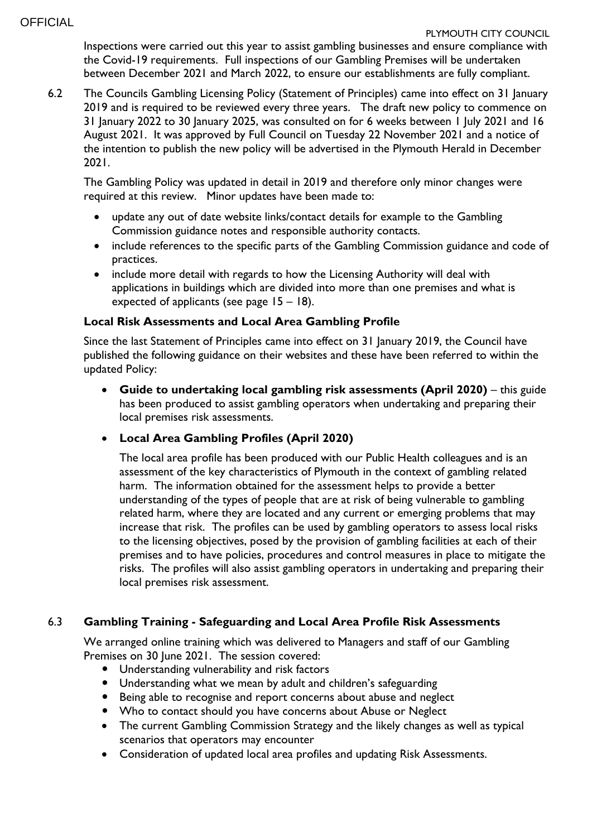#### PLYMOUTH CITY COUNCIL

Inspections were carried out this year to assist gambling businesses and ensure compliance with the Covid-19 requirements. Full inspections of our Gambling Premises will be undertaken between December 2021 and March 2022, to ensure our establishments are fully compliant.

6.2 The Councils Gambling Licensing Policy (Statement of Principles) came into effect on 31 January 2019 and is required to be reviewed every three years. The draft new policy to commence on 31 January 2022 to 30 January 2025, was consulted on for 6 weeks between 1 July 2021 and 16 August 2021. It was approved by Full Council on Tuesday 22 November 2021 and a notice of the intention to publish the new policy will be advertised in the Plymouth Herald in December 2021.

The Gambling Policy was updated in detail in 2019 and therefore only minor changes were required at this review. Minor updates have been made to:

- update any out of date website links/contact details for example to the Gambling Commission guidance notes and responsible authority contacts.
- include references to the specific parts of the Gambling Commission guidance and code of practices.
- include more detail with regards to how the Licensing Authority will deal with applications in buildings which are divided into more than one premises and what is expected of applicants (see page 15 – 18).

# **Local Risk Assessments and Local Area Gambling Profile**

Since the last Statement of Principles came into effect on 31 January 2019, the Council have published the following guidance on their websites and these have been referred to within the updated Policy:

 **Guide to undertaking local gambling risk assessments (April 2020)** – this guide has been produced to assist gambling operators when undertaking and preparing their local premises risk assessments.

# **Local Area Gambling Profiles (April 2020)**

The local area profile has been produced with our Public Health colleagues and is an assessment of the key characteristics of Plymouth in the context of gambling related harm. The information obtained for the assessment helps to provide a better understanding of the types of people that are at risk of being vulnerable to gambling related harm, where they are located and any current or emerging problems that may increase that risk. The profiles can be used by gambling operators to assess local risks to the licensing objectives, posed by the provision of gambling facilities at each of their premises and to have policies, procedures and control measures in place to mitigate the risks. The profiles will also assist gambling operators in undertaking and preparing their local premises risk assessment.

# 6.3 **Gambling Training - Safeguarding and Local Area Profile Risk Assessments**

We arranged online training which was delivered to Managers and staff of our Gambling Premises on 30 June 2021. The session covered:

- Understanding vulnerability and risk factors
- Understanding what we mean by adult and children's safeguarding
- Being able to recognise and report concerns about abuse and neglect
- Who to contact should you have concerns about Abuse or Neglect
- The current Gambling Commission Strategy and the likely changes as well as typical scenarios that operators may encounter
- Consideration of updated local area profiles and updating Risk Assessments.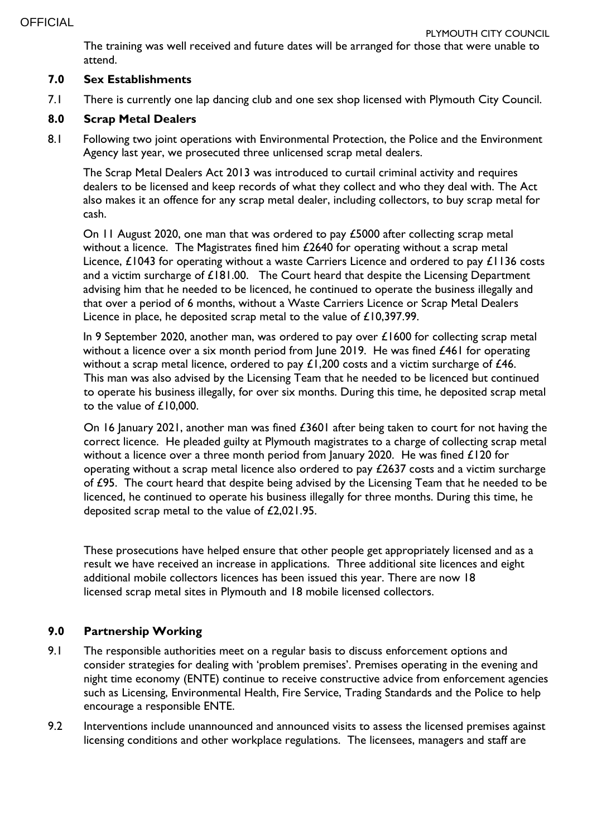The training was well received and future dates will be arranged for those that were unable to attend.

# **7.0 Sex Establishments**

7.1 There is currently one lap dancing club and one sex shop licensed with Plymouth City Council.

# **8.0 Scrap Metal Dealers**

8.1 Following two joint operations with Environmental Protection, the Police and the Environment Agency last year, we prosecuted three unlicensed scrap metal dealers.

The Scrap Metal Dealers Act 2013 was introduced to curtail criminal activity and requires dealers to be licensed and keep records of what they collect and who they deal with. The Act also makes it an offence for any scrap metal dealer, including collectors, to buy scrap metal for cash.

On 11 August 2020, one man that was ordered to pay £5000 after collecting scrap metal without a licence. The Magistrates fined him £2640 for operating without a scrap metal Licence, £1043 for operating without a waste Carriers Licence and ordered to pay £1136 costs and a victim surcharge of  $£181.00$ . The Court heard that despite the Licensing Department advising him that he needed to be licenced, he continued to operate the business illegally and that over a period of 6 months, without a Waste Carriers Licence or Scrap Metal Dealers Licence in place, he deposited scrap metal to the value of £10,397.99.

In 9 September 2020, another man, was ordered to pay over £1600 for collecting scrap metal without a licence over a six month period from June 2019. He was fined £461 for operating without a scrap metal licence, ordered to pay  $£1,200$  costs and a victim surcharge of  $£46$ . This man was also advised by the Licensing Team that he needed to be licenced but continued to operate his business illegally, for over six months. During this time, he deposited scrap metal to the value of £10,000.

On 16 January 2021, another man was fined £3601 after being taken to court for not having the correct licence. He pleaded guilty at Plymouth magistrates to a charge of collecting scrap metal without a licence over a three month period from January 2020. He was fined £120 for operating without a scrap metal licence also ordered to pay £2637 costs and a victim surcharge of £95. The court heard that despite being advised by the Licensing Team that he needed to be licenced, he continued to operate his business illegally for three months. During this time, he deposited scrap metal to the value of £2,021.95.

These prosecutions have helped ensure that other people get appropriately licensed and as a result we have received an increase in applications. Three additional site licences and eight additional mobile collectors licences has been issued this year. There are now 18 licensed scrap metal sites in Plymouth and 18 mobile licensed collectors.

# **9.0 Partnership Working**

- 9.1 The responsible authorities meet on a regular basis to discuss enforcement options and consider strategies for dealing with 'problem premises'. Premises operating in the evening and night time economy (ENTE) continue to receive constructive advice from enforcement agencies such as Licensing, Environmental Health, Fire Service, Trading Standards and the Police to help encourage a responsible ENTE.
- 9.2 Interventions include unannounced and announced visits to assess the licensed premises against licensing conditions and other workplace regulations. The licensees, managers and staff are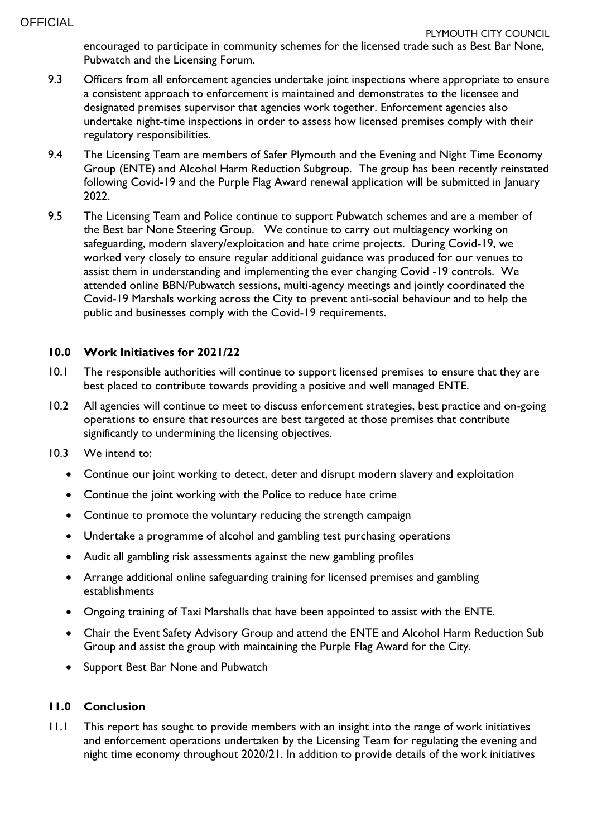encouraged to participate in community schemes for the licensed trade such as Best Bar None, Pubwatch and the Licensing Forum.

- 9.3 Officers from all enforcement agencies undertake joint inspections where appropriate to ensure a consistent approach to enforcement is maintained and demonstrates to the licensee and designated premises supervisor that agencies work together. Enforcement agencies also undertake night-time inspections in order to assess how licensed premises comply with their regulatory responsibilities.
- 9.4 The Licensing Team are members of Safer Plymouth and the Evening and Night Time Economy Group (ENTE) and Alcohol Harm Reduction Subgroup. The group has been recently reinstated following Covid-19 and the Purple Flag Award renewal application will be submitted in January 2022.
- 9.5 The Licensing Team and Police continue to support Pubwatch schemes and are a member of the Best bar None Steering Group. We continue to carry out multiagency working on safeguarding, modern slavery/exploitation and hate crime projects. During Covid-19, we worked very closely to ensure regular additional guidance was produced for our venues to assist them in understanding and implementing the ever changing Covid -19 controls. We attended online BBN/Pubwatch sessions, multi-agency meetings and jointly coordinated the Covid-19 Marshals working across the City to prevent anti-social behaviour and to help the public and businesses comply with the Covid-19 requirements.

# **10.0 Work Initiatives for 2021/22**

- 10.1 The responsible authorities will continue to support licensed premises to ensure that they are best placed to contribute towards providing a positive and well managed ENTE.
- 10.2 All agencies will continue to meet to discuss enforcement strategies, best practice and on-going operations to ensure that resources are best targeted at those premises that contribute significantly to undermining the licensing objectives.
- 10.3 We intend to:
	- Continue our joint working to detect, deter and disrupt modern slavery and exploitation
	- Continue the joint working with the Police to reduce hate crime
	- Continue to promote the voluntary reducing the strength campaign
	- Undertake a programme of alcohol and gambling test purchasing operations
	- Audit all gambling risk assessments against the new gambling profiles
	- Arrange additional online safeguarding training for licensed premises and gambling establishments
	- Ongoing training of Taxi Marshalls that have been appointed to assist with the ENTE.
	- Chair the Event Safety Advisory Group and attend the ENTE and Alcohol Harm Reduction Sub Group and assist the group with maintaining the Purple Flag Award for the City.
	- Support Best Bar None and Pubwatch

### **11.0 Conclusion**

11.1 This report has sought to provide members with an insight into the range of work initiatives and enforcement operations undertaken by the Licensing Team for regulating the evening and night time economy throughout 2020/21. In addition to provide details of the work initiatives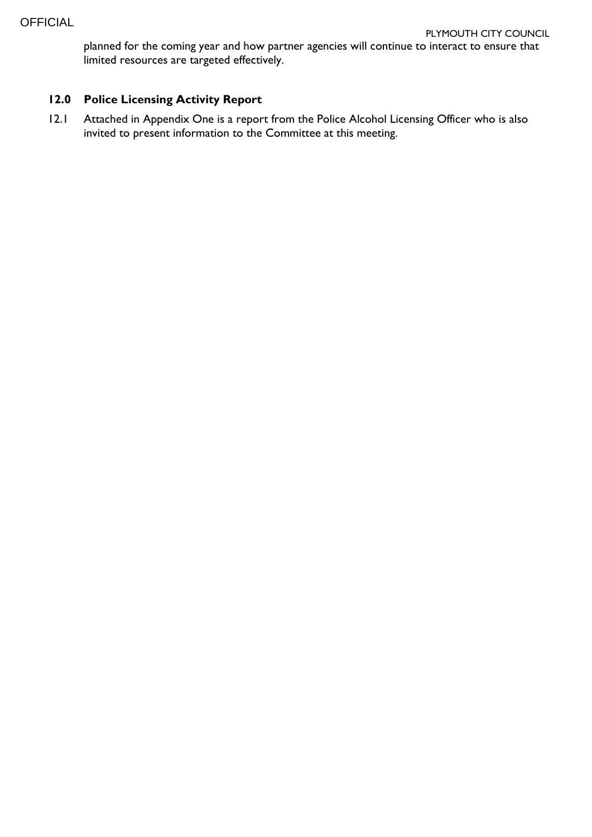planned for the coming year and how partner agencies will continue to interact to ensure that limited resources are targeted effectively.

# **12.0 Police Licensing Activity Report**

12.1 Attached in Appendix One is a report from the Police Alcohol Licensing Officer who is also invited to present information to the Committee at this meeting.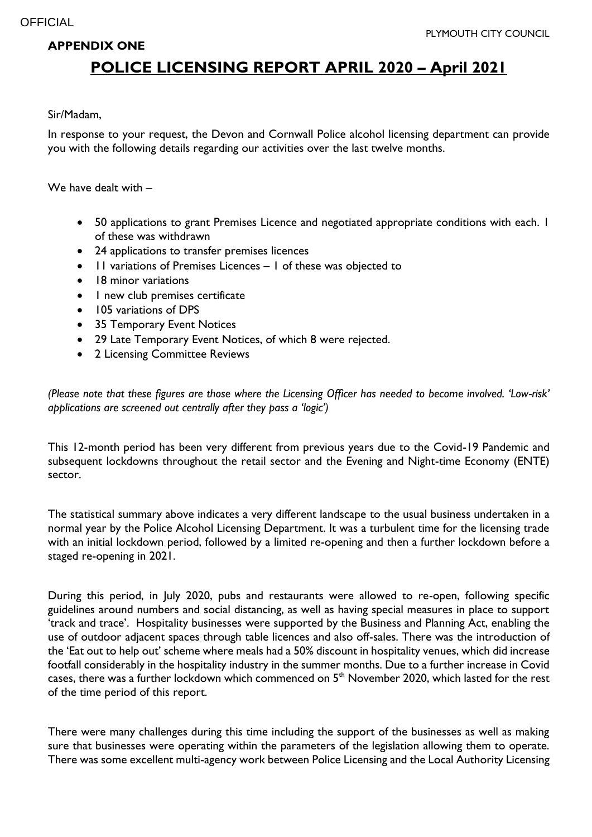#### **APPENDIX ONE**

# **POLICE LICENSING REPORT APRIL 2020 – April 2021**

#### Sir/Madam,

In response to your request, the Devon and Cornwall Police alcohol licensing department can provide you with the following details regarding our activities over the last twelve months.

We have dealt with –

- 50 applications to grant Premises Licence and negotiated appropriate conditions with each. I of these was withdrawn
- 24 applications to transfer premises licences
- Il variations of Premises Licences I of these was objected to
- 18 minor variations
- I new club premises certificate
- 105 variations of DPS
- 35 Temporary Event Notices
- 29 Late Temporary Event Notices, of which 8 were rejected.
- 2 Licensing Committee Reviews

*(Please note that these figures are those where the Licensing Officer has needed to become involved. 'Low-risk' applications are screened out centrally after they pass a 'logic')* 

This 12-month period has been very different from previous years due to the Covid-19 Pandemic and subsequent lockdowns throughout the retail sector and the Evening and Night-time Economy (ENTE) sector.

The statistical summary above indicates a very different landscape to the usual business undertaken in a normal year by the Police Alcohol Licensing Department. It was a turbulent time for the licensing trade with an initial lockdown period, followed by a limited re-opening and then a further lockdown before a staged re-opening in 2021.

During this period, in July 2020, pubs and restaurants were allowed to re-open, following specific guidelines around numbers and social distancing, as well as having special measures in place to support 'track and trace'. Hospitality businesses were supported by the Business and Planning Act, enabling the use of outdoor adjacent spaces through table licences and also off-sales. There was the introduction of the 'Eat out to help out' scheme where meals had a 50% discount in hospitality venues, which did increase footfall considerably in the hospitality industry in the summer months. Due to a further increase in Covid cases, there was a further lockdown which commenced on 5<sup>th</sup> November 2020, which lasted for the rest of the time period of this report.

There were many challenges during this time including the support of the businesses as well as making sure that businesses were operating within the parameters of the legislation allowing them to operate. There was some excellent multi-agency work between Police Licensing and the Local Authority Licensing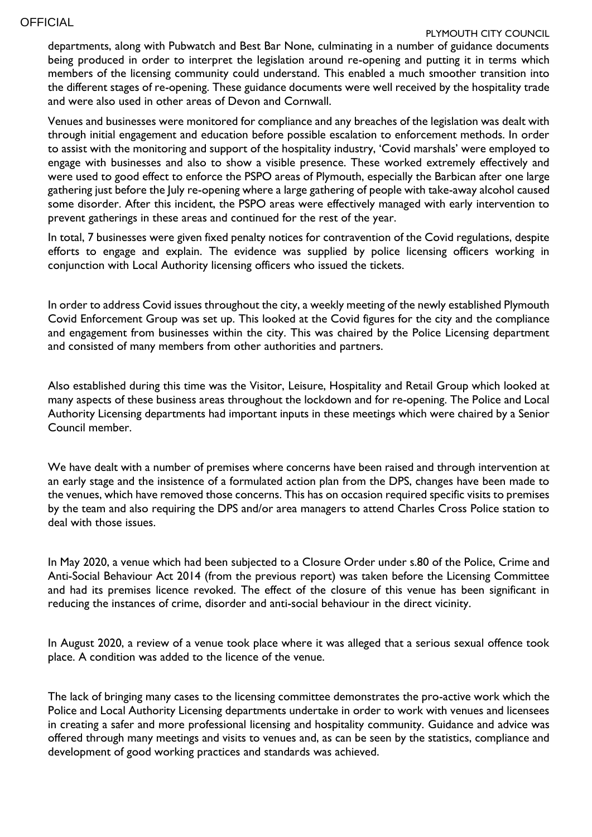#### **OFFICIAL**

#### PLYMOUTH CITY COUNCIL

departments, along with Pubwatch and Best Bar None, culminating in a number of guidance documents being produced in order to interpret the legislation around re-opening and putting it in terms which members of the licensing community could understand. This enabled a much smoother transition into the different stages of re-opening. These guidance documents were well received by the hospitality trade and were also used in other areas of Devon and Cornwall.

Venues and businesses were monitored for compliance and any breaches of the legislation was dealt with through initial engagement and education before possible escalation to enforcement methods. In order to assist with the monitoring and support of the hospitality industry, 'Covid marshals' were employed to engage with businesses and also to show a visible presence. These worked extremely effectively and were used to good effect to enforce the PSPO areas of Plymouth, especially the Barbican after one large gathering just before the July re-opening where a large gathering of people with take-away alcohol caused some disorder. After this incident, the PSPO areas were effectively managed with early intervention to prevent gatherings in these areas and continued for the rest of the year.

In total, 7 businesses were given fixed penalty notices for contravention of the Covid regulations, despite efforts to engage and explain. The evidence was supplied by police licensing officers working in conjunction with Local Authority licensing officers who issued the tickets.

In order to address Covid issues throughout the city, a weekly meeting of the newly established Plymouth Covid Enforcement Group was set up. This looked at the Covid figures for the city and the compliance and engagement from businesses within the city. This was chaired by the Police Licensing department and consisted of many members from other authorities and partners.

Also established during this time was the Visitor, Leisure, Hospitality and Retail Group which looked at many aspects of these business areas throughout the lockdown and for re-opening. The Police and Local Authority Licensing departments had important inputs in these meetings which were chaired by a Senior Council member.

We have dealt with a number of premises where concerns have been raised and through intervention at an early stage and the insistence of a formulated action plan from the DPS, changes have been made to the venues, which have removed those concerns. This has on occasion required specific visits to premises by the team and also requiring the DPS and/or area managers to attend Charles Cross Police station to deal with those issues.

In May 2020, a venue which had been subjected to a Closure Order under s.80 of the Police, Crime and Anti-Social Behaviour Act 2014 (from the previous report) was taken before the Licensing Committee and had its premises licence revoked. The effect of the closure of this venue has been significant in reducing the instances of crime, disorder and anti-social behaviour in the direct vicinity.

In August 2020, a review of a venue took place where it was alleged that a serious sexual offence took place. A condition was added to the licence of the venue.

The lack of bringing many cases to the licensing committee demonstrates the pro-active work which the Police and Local Authority Licensing departments undertake in order to work with venues and licensees in creating a safer and more professional licensing and hospitality community. Guidance and advice was offered through many meetings and visits to venues and, as can be seen by the statistics, compliance and development of good working practices and standards was achieved.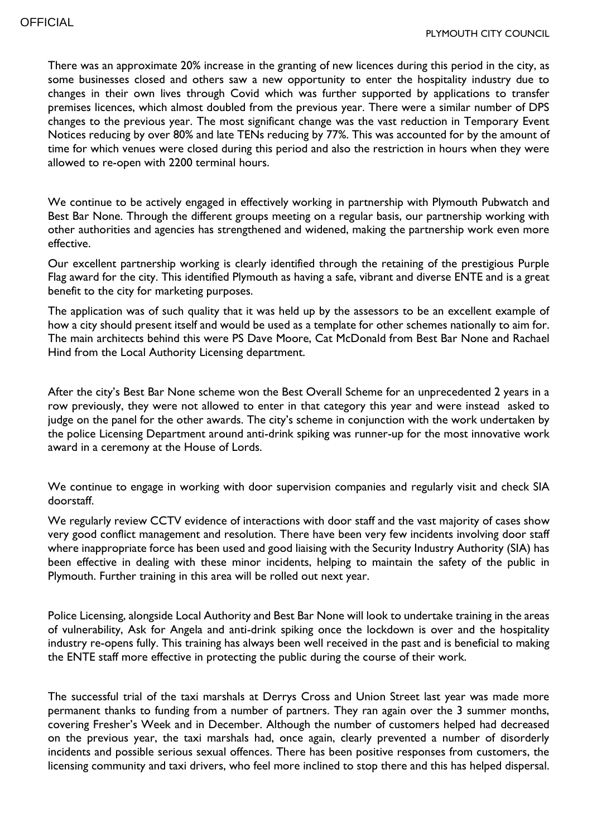There was an approximate 20% increase in the granting of new licences during this period in the city, as some businesses closed and others saw a new opportunity to enter the hospitality industry due to changes in their own lives through Covid which was further supported by applications to transfer premises licences, which almost doubled from the previous year. There were a similar number of DPS changes to the previous year. The most significant change was the vast reduction in Temporary Event Notices reducing by over 80% and late TENs reducing by 77%. This was accounted for by the amount of time for which venues were closed during this period and also the restriction in hours when they were allowed to re-open with 2200 terminal hours.

We continue to be actively engaged in effectively working in partnership with Plymouth Pubwatch and Best Bar None. Through the different groups meeting on a regular basis, our partnership working with other authorities and agencies has strengthened and widened, making the partnership work even more effective.

Our excellent partnership working is clearly identified through the retaining of the prestigious Purple Flag award for the city. This identified Plymouth as having a safe, vibrant and diverse ENTE and is a great benefit to the city for marketing purposes.

The application was of such quality that it was held up by the assessors to be an excellent example of how a city should present itself and would be used as a template for other schemes nationally to aim for. The main architects behind this were PS Dave Moore, Cat McDonald from Best Bar None and Rachael Hind from the Local Authority Licensing department.

After the city's Best Bar None scheme won the Best Overall Scheme for an unprecedented 2 years in a row previously, they were not allowed to enter in that category this year and were instead asked to judge on the panel for the other awards. The city's scheme in conjunction with the work undertaken by the police Licensing Department around anti-drink spiking was runner-up for the most innovative work award in a ceremony at the House of Lords.

We continue to engage in working with door supervision companies and regularly visit and check SIA doorstaff.

We regularly review CCTV evidence of interactions with door staff and the vast majority of cases show very good conflict management and resolution. There have been very few incidents involving door staff where inappropriate force has been used and good liaising with the Security Industry Authority (SIA) has been effective in dealing with these minor incidents, helping to maintain the safety of the public in Plymouth. Further training in this area will be rolled out next year.

Police Licensing, alongside Local Authority and Best Bar None will look to undertake training in the areas of vulnerability, Ask for Angela and anti-drink spiking once the lockdown is over and the hospitality industry re-opens fully. This training has always been well received in the past and is beneficial to making the ENTE staff more effective in protecting the public during the course of their work.

The successful trial of the taxi marshals at Derrys Cross and Union Street last year was made more permanent thanks to funding from a number of partners. They ran again over the 3 summer months, covering Fresher's Week and in December. Although the number of customers helped had decreased on the previous year, the taxi marshals had, once again, clearly prevented a number of disorderly incidents and possible serious sexual offences. There has been positive responses from customers, the licensing community and taxi drivers, who feel more inclined to stop there and this has helped dispersal.